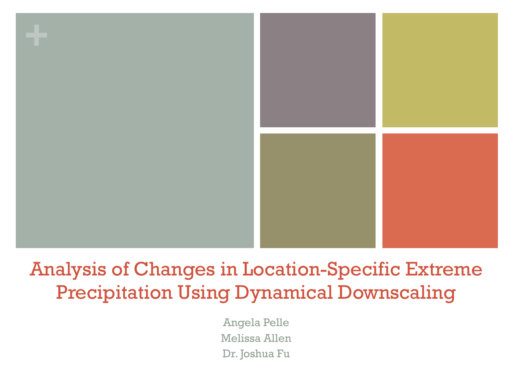

## Analysis of Changes in Location-Specific Extreme Precipitation Using Dynamical Downscaling

Angela Pelle Melissa Allen Dr. Joshua Fu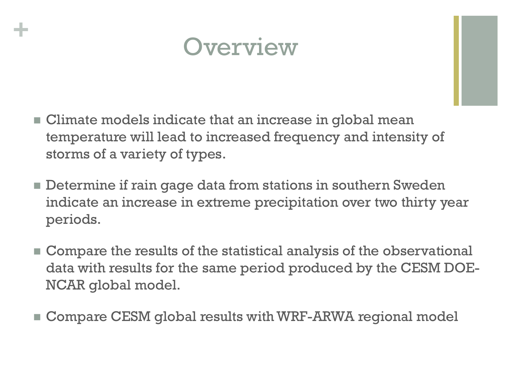

**+**

- $\blacksquare$  Climate models indicate that an increase in global mean temperature will lead to increased frequency and intensity of storms of a variety of types.
- $\blacksquare$  Determine if rain gage data from stations in southern Sweden indicate an increase in extreme precipitation over two thirty year periods.
- **E** Compare the results of the statistical analysis of the observational data with results for the same period produced by the CESM DOE-NCAR global model.
- Compare CESM global results with WRF-ARWA regional model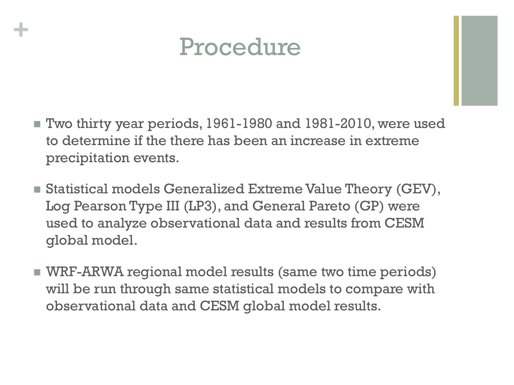

**+**

- $\blacksquare$  Two thirty year periods, 1961-1980 and 1981-2010, were used to determine if the there has been an increase in extreme precipitation events.
- $\blacksquare$  Statistical models Generalized Extreme Value Theory (GEV), Log Pearson Type III (LP3), and General Pareto (GP) were used to analyze observational data and results from CESM global model.
- **NRF-ARWA regional model results (same two time periods)** will be run through same statistical models to compare with observational data and CESM global model results.